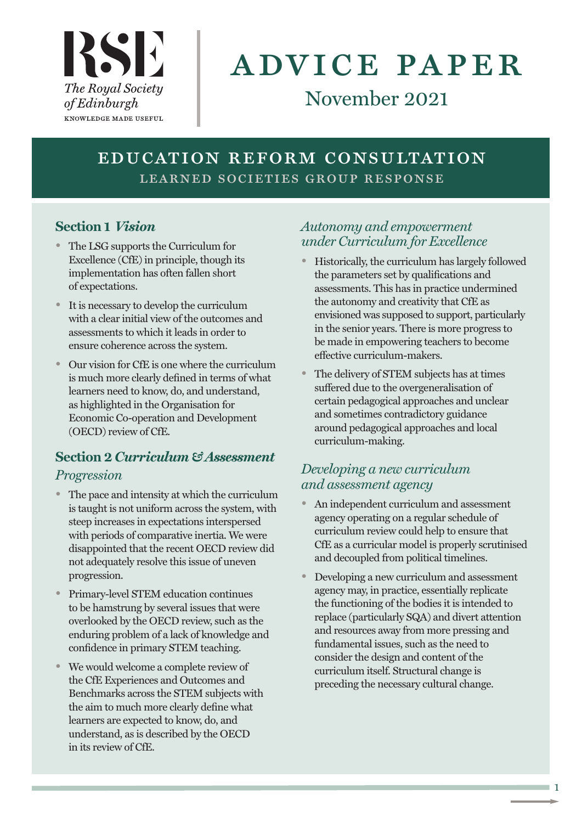

# advice paper

# November 2021

## education reform consultation LEARNED SOCIETIES GROUP RESPONSE

## **Section 1** *Vision*

- The LSG supports the Curriculum for Excellence (CfE) in principle, though its implementation has often fallen short of expectations.
- It is necessary to develop the curriculum with a clear initial view of the outcomes and assessments to which it leads in order to ensure coherence across the system.
- Our vision for CfE is one where the curriculum is much more clearly defined in terms of what learners need to know, do, and understand, as highlighted in the Organisation for Economic Co-operation and Development (OECD) review of CfE.

## **Section 2***Curriculum & Assessment Progression*

- The pace and intensity at which the curriculum is taught is not uniform across the system, with steep increases in expectations interspersed with periods of comparative inertia. We were disappointed that the recent OECD review did not adequately resolve this issue of uneven progression.
- Primary-level STEM education continues to be hamstrung by several issues that were overlooked by the OECD review, such as the enduring problem of a lack of knowledge and confidence in primary STEM teaching.
- We would welcome a complete review of the CfE Experiences and Outcomes and Benchmarks across the STEM subjects with the aim to much more clearly define what learners are expected to know, do, and understand, as is described by the OECD in its review of CfE.

## *Autonomy and empowerment under Curriculum for Excellence*

- Historically, the curriculum has largely followed the parameters set by qualifications and assessments. This has in practice undermined the autonomy and creativity that CfE as envisioned was supposed to support, particularly in the senior years. There is more progress to be made in empowering teachers to become effective curriculum-makers.
- The delivery of STEM subjects has at times suffered due to the overgeneralisation of certain pedagogical approaches and unclear and sometimes contradictory guidance around pedagogical approaches and local curriculum-making.

## *Developing a new curriculum and assessment agency*

- An independent curriculum and assessment agency operating on a regular schedule of curriculum review could help to ensure that CfE as a curricular model is properly scrutinised and decoupled from political timelines.
- Developing a new curriculum and assessment agency may, in practice, essentially replicate the functioning of the bodies it is intended to replace (particularly SQA) and divert attention and resources away from more pressing and fundamental issues, such as the need to consider the design and content of the curriculum itself. Structural change is preceding the necessary cultural change.

1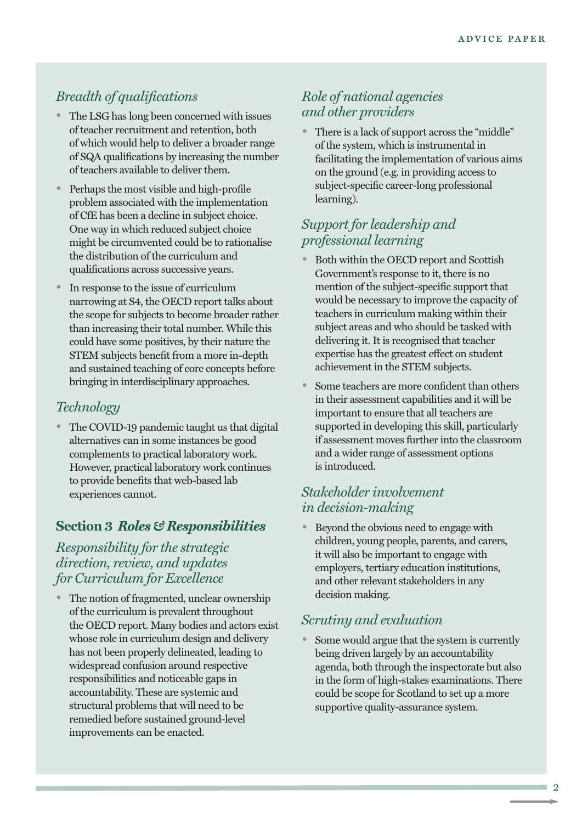## *Breadth of qualifications*

- The LSG has long been concerned with issues of teacher recruitment and retention, both of which would help to deliver a broader range of SQA qualifications by increasing the number of teachers available to deliver them.
- Perhaps the most visible and high-profile problem associated with the implementation of CfE has been a decline in subject choice. One way in which reduced subject choice might be circumvented could be to rationalise the distribution of the curriculum and qualifications across successive years.
- In response to the issue of curriculum narrowing at S4, the OECD report talks about the scope for subjects to become broader rather than increasing their total number. While this could have some positives, by their nature the STEM subjects benefit from a more in-depth and sustained teaching of core concepts before bringing in interdisciplinary approaches.

## *Technology*

• The COVID-19 pandemic taught us that digital alternatives can in some instances be good complements to practical laboratory work. However, practical laboratory work continues to provide benefits that web-based lab experiences cannot.

#### **Section 3** *Roles & Responsibilities*

*Responsibility for the strategic direction, review, and updates for Curriculum for Excellence*

The notion of fragmented, unclear ownership of the curriculum is prevalent throughout the OECD report. Many bodies and actors exist whose role in curriculum design and delivery has not been properly delineated, leading to widespread confusion around respective responsibilities and noticeable gaps in accountability. These are systemic and structural problems that will need to be remedied before sustained ground-level improvements can be enacted.

## *Role of national agencies and other providers*

• There is a lack of support across the "middle" of the system, which is instrumental in facilitating the implementation of various aims on the ground (e.g. in providing access to subject-specific career-long professional learning).

## *Support for leadership and professional learning*

- Both within the OECD report and Scottish Government's response to it, there is no mention of the subject-specific support that would be necessary to improve the capacity of teachers in curriculum making within their subject areas and who should be tasked with delivering it. It is recognised that teacher expertise has the greatest effect on student achievement in the STEM subjects.
- Some teachers are more confident than others in their assessment capabilities and it will be important to ensure that all teachers are supported in developing this skill, particularly if assessment moves further into the classroom and a wider range of assessment options is introduced.

## *Stakeholder involvement in decision-making*

• Beyond the obvious need to engage with children, young people, parents, and carers, it will also be important to engage with employers, tertiary education institutions, and other relevant stakeholders in any decision making.

#### *Scrutiny and evaluation*

Some would argue that the system is currently being driven largely by an accountability agenda, both through the inspectorate but also in the form of high-stakes examinations. There could be scope for Scotland to set up a more supportive quality-assurance system.

 $\overline{2}$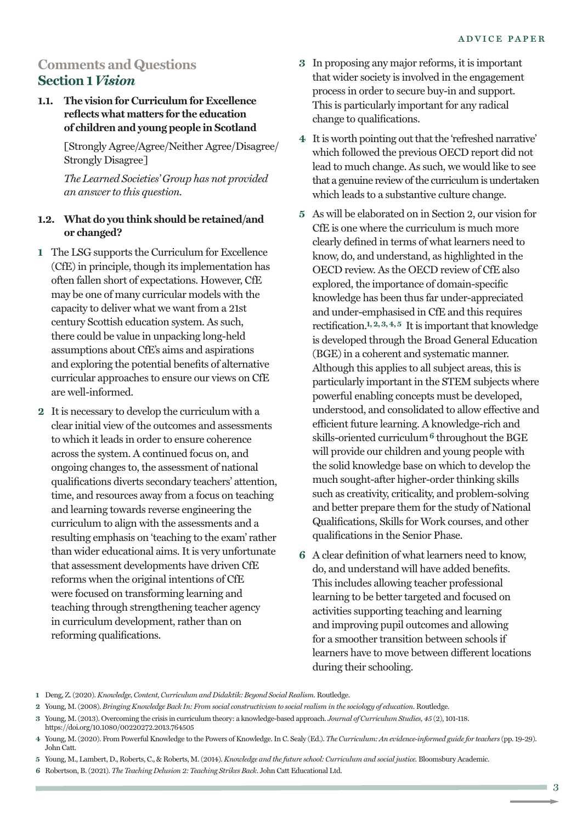## **Comments and Questions Section 1** *Vision*

#### **1.1. The vision for Curriculum for Excellence reflects what matters for the education of children and young people in Scotland**

[Strongly Agree/Agree/Neither Agree/Disagree/ Strongly Disagree]

*The Learned Societies' Group has not provided an answer to this question.*

#### **1.2. What do you think should be retained/and or changed?**

- **1** The LSG supports the Curriculum for Excellence (CfE) in principle, though its implementation has often fallen short of expectations. However, CfE may be one of many curricular models with the capacity to deliver what we want from a 21st century Scottish education system. As such, there could be value in unpacking long-held assumptions about CfE's aims and aspirations and exploring the potential benefits of alternative curricular approaches to ensure our views on CfE are well-informed.
- **2** It is necessary to develop the curriculum with a clear initial view of the outcomes and assessments to which it leads in order to ensure coherence across the system. A continued focus on, and ongoing changes to, the assessment of national qualifications diverts secondary teachers' attention, time, and resources away from a focus on teaching and learning towards reverse engineering the curriculum to align with the assessments and a resulting emphasis on 'teaching to the exam' rather than wider educational aims. It is very unfortunate that assessment developments have driven CfE reforms when the original intentions of CfE were focused on transforming learning and teaching through strengthening teacher agency in curriculum development, rather than on reforming qualifications.
- **3** In proposing any major reforms, it is important that wider society is involved in the engagement process in order to secure buy-in and support. This is particularly important for any radical change to qualifications.
- **4** It is worth pointing out that the 'refreshed narrative' which followed the previous OECD report did not lead to much change. As such, we would like to see that a genuine review of the curriculum is undertaken which leads to a substantive culture change.
- **5** As will be elaborated on in Section 2, our vision for CfE is one where the curriculum is much more clearly defined in terms of what learners need to know, do, and understand, as highlighted in the OECD review. As the OECD review of CfE also explored, the importance of domain-specific knowledge has been thus far under-appreciated and under-emphasised in CfE and this requires rectification.<sup>1, 2, 3, 4, 5</sup> It is important that knowledge is developed through the Broad General Education (BGE) in a coherent and systematic manner. Although this applies to all subject areas, this is particularly important in the STEM subjects where powerful enabling concepts must be developed, understood, and consolidated to allow effective and efficient future learning. A knowledge-rich and skills-oriented curriculum**6** throughout the BGE will provide our children and young people with the solid knowledge base on which to develop the much sought-after higher-order thinking skills such as creativity, criticality, and problem-solving and better prepare them for the study of National Qualifications, Skills for Work courses, and other qualifications in the Senior Phase.
- **6** A clear definition of what learners need to know, do, and understand will have added benefits. This includes allowing teacher professional learning to be better targeted and focused on activities supporting teaching and learning and improving pupil outcomes and allowing for a smoother transition between schools if learners have to move between different locations during their schooling.
- **1** Deng, Z.(2020). *Knowledge, Content, Curriculum and Didaktik: Beyond Social Realism*. Routledge.
- 2 Young, M. (2008). Bringing Knowledge Back In: From social constructivism to social realism in the sociology of education. Routledge.
- **3** Young, M.(2013). Overcoming the crisis in curriculum theory: a knowledge-based approach. *Journal of Curriculum Studies, 45* (2), 101-118. https://doi.org/10.1080/00220272.2013.764505
- **4** Young, M.(2020). From Powerful Knowledge to the Powers of Knowledge. In C. Sealy (Ed.). *The Curriculum: An evidence-informed guide for teachers* (pp. 19-29). John Catt.
- **5** Young, M., Lambert, D., Roberts, C., & Roberts, M.(2014). *Knowledge and the future school: Curriculum and social justice.* Bloomsbury Academic.
- **6** Robertson, B.(2021). *The Teaching Delusion 2: Teaching Strikes Back*. John Catt Educational Ltd.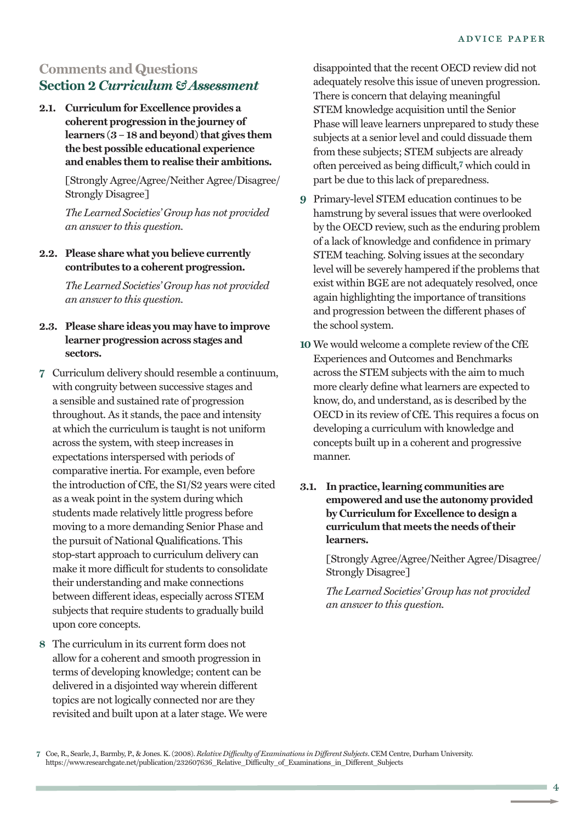## **Comments and Questions Section 2***Curriculum & Assessment*

**2.1. Curriculum for Excellence provides a coherent progression in the journey of learners**  $(3 - 18$  **and beyond that gives them the best possible educational experience and enables them to realise their ambitions.**

> [Strongly Agree/Agree/Neither Agree/Disagree/ Strongly Disagree]

*The Learned Societies' Group has not provided an answer to this question.*

#### **2.2. Please share what you believe currently contributes to a coherent progression.**

*The Learned Societies' Group has not provided an answer to this question.*

#### **2.3. Please share ideas you may have to improve learner progression across stages and sectors.**

- **7** Curriculum delivery should resemble a continuum, with congruity between successive stages and a sensible and sustained rate of progression throughout. As it stands, the pace and intensity at which the curriculum is taught is not uniform across the system, with steep increases in expectations interspersed with periods of comparative inertia. For example, even before the introduction of CfE, the S1/S2 years were cited as a weak point in the system during which students made relatively little progress before moving to a more demanding Senior Phase and the pursuit of National Qualifications. This stop-start approach to curriculum delivery can make it more difficult for students to consolidate their understanding and make connections between different ideas, especially across STEM subjects that require students to gradually build upon core concepts.
- **8** The curriculum in its current form does not allow for a coherent and smooth progression in terms of developing knowledge; content can be delivered in a disjointed way wherein different topics are not logically connected nor are they revisited and built upon at a later stage. We were

disappointed that the recent OECD review did not adequately resolve this issue of uneven progression. There is concern that delaying meaningful STEM knowledge acquisition until the Senior Phase will leave learners unprepared to study these subjects at a senior level and could dissuade them from these subjects; STEM subjects are already often perceived as being difficult, **7** which could in part be due to this lack of preparedness.

- **9** Primary-level STEM education continues to be hamstrung by several issues that were overlooked by the OECD review, such as the enduring problem of a lack of knowledge and confidence in primary STEM teaching. Solving issues at the secondary level will be severely hampered if the problems that exist within BGE are not adequately resolved, once again highlighting the importance of transitions and progression between the different phases of the school system.
- **10** We would welcome a complete review of the CfE Experiences and Outcomes and Benchmarks across the STEM subjects with the aim to much more clearly define what learners are expected to know, do, and understand, as is described by the OECD in its review of CfE. This requires a focus on developing a curriculum with knowledge and concepts built up in a coherent and progressive manner.
- **3.1. In practice, learning communities are empowered and use the autonomy provided by Curriculum for Excellence to design a curriculum that meets the needs oftheir learners.**

[Strongly Agree/Agree/Neither Agree/Disagree/ Strongly Disagree]

**<sup>7</sup>** Coe, R., Searle, J., Barmby, P., & Jones. K.(2008). *Relative Difficulty of Examinations in Different Subjects*. CEM Centre, Durham University. https://www.researchgate.net/publication/232607636\_Relative\_Difficulty\_of\_Examinations\_in\_Different\_Subjects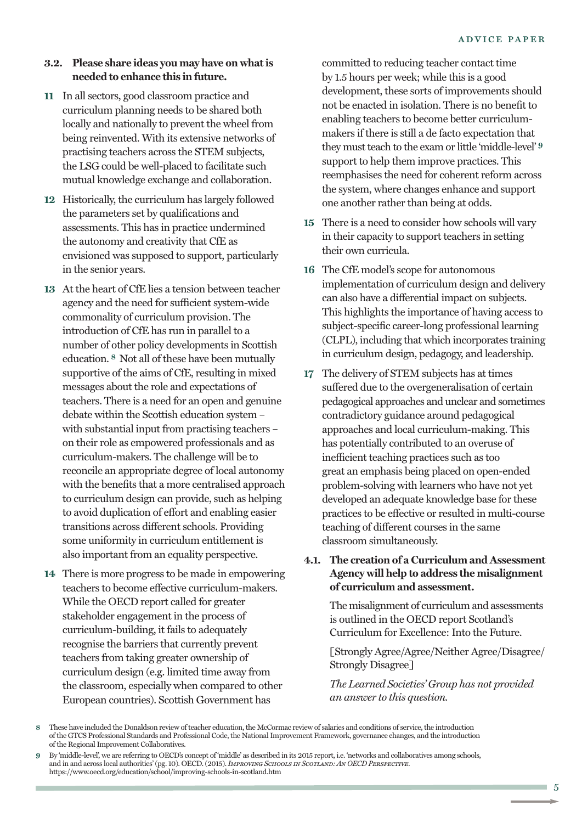#### **3.2. Please share ideas you may have on whatis needed to enhance this in future.**

- **11** In all sectors, good classroom practice and curriculum planning needs to be shared both locally and nationally to prevent the wheel from being reinvented. With its extensive networks of practising teachers across the STEM subjects, the LSG could be well-placed to facilitate such mutual knowledge exchange and collaboration.
- **12** Historically, the curriculum has largely followed the parameters set by qualifications and assessments. This has in practice undermined the autonomy and creativity that CfE as envisioned was supposed to support, particularly in the senior years.
- **13** At the heart of CfE lies a tension between teacher agency and the need for sufficient system-wide commonality of curriculum provision. The introduction of CfE has run in parallel to a number of other policy developments in Scottish education. **8** Not all of these have been mutually supportive of the aims of CfE, resulting in mixed messages about the role and expectations of teachers. There is a need for an open and genuine debate within the Scottish education system – with substantial input from practising teachers – on their role as empowered professionals and as curriculum-makers. The challenge will be to reconcile an appropriate degree of local autonomy with the benefits that a more centralised approach to curriculum design can provide, such as helping to avoid duplication of effort and enabling easier transitions across different schools. Providing some uniformity in curriculum entitlement is also important from an equality perspective.
- **14** There is more progress to be made in empowering teachers to become effective curriculum-makers. While the OECD report called for greater stakeholder engagement in the process of curriculum-building, it fails to adequately recognise the barriers that currently prevent teachers from taking greater ownership of curriculum design (e.g. limited time away from the classroom, especially when compared to other European countries). Scottish Government has

committed to reducing teacher contact time by 1.5 hours per week; while this is a good development, these sorts of improvements should not be enacted in isolation. There is no benefit to enabling teachers to become better curriculummakers if there is still a de facto expectation that they mustteach to the exam or little 'middle-level' **9** support to help them improve practices. This reemphasises the need for coherent reform across the system, where changes enhance and support one another rather than being at odds.

- **15** There is a need to consider how schools will vary in their capacity to support teachers in setting their own curricula.
- **16** The CfE model's scope for autonomous implementation of curriculum design and delivery can also have a differential impact on subjects. This highlights the importance of having access to subject-specific career-long professional learning (CLPL), including that which incorporates training in curriculum design, pedagogy, and leadership.
- **17** The delivery of STEM subjects has at times suffered due to the overgeneralisation of certain pedagogical approaches and unclear and sometimes contradictory guidance around pedagogical approaches and local curriculum-making. This has potentially contributed to an overuse of inefficient teaching practices such as too great an emphasis being placed on open-ended problem-solving with learners who have not yet developed an adequate knowledge base for these practices to be effective or resulted in multi-course teaching of different courses in the same classroom simultaneously.
- **4.1. The creation of a Curriculum and Assessment Agency will help to address the misalignment of curriculum and assessment.**

The misalignment of curriculum and assessments is outlined in the OECD report Scotland's Curriculum for Excellence: Into the Future.

[Strongly Agree/Agree/Neither Agree/Disagree/ Strongly Disagree]

**<sup>8</sup>** These have included the Donaldson review of teacher education, the McCormac review of salaries and conditions of service, the introduction of the GTCS Professional Standards and Professional Code, the National Improvement Framework, governance changes, and the introduction of the Regional Improvement Collaboratives.

**<sup>9</sup>** By 'middle-level', we are referring to OECD's concept of 'middle' as described in its 2015 report, i.e. 'networks and collaboratives among schools, and in and across local authorities'(pg. 10). OECD.(2015).*Improving Schools in Scotland: An OECD Perspective.* https://www.oecd.org/education/school/improving-schools-in-scotland.htm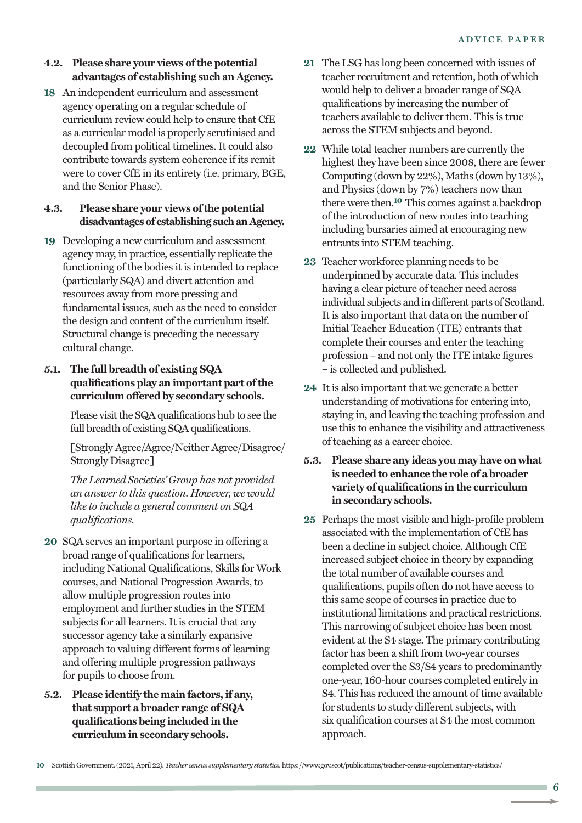#### **4.2. Please share your views ofthe potential advantages of establishing such an Agency.**

**18** An independent curriculum and assessment agency operating on a regular schedule of curriculum review could help to ensure that CfE as a curricular model is properly scrutinised and decoupled from political timelines. It could also contribute towards system coherence if its remit were to cover CfE in its entirety (i.e. primary, BGE, and the Senior Phase).

#### **4.3. Please share your views ofthe potential disadvantagesof establishingsuchanAgency.**

**19** Developing a new curriculum and assessment agency may, in practice, essentially replicate the functioning of the bodies it is intended to replace (particularly SQA) and divert attention and resources away from more pressing and fundamental issues, such as the need to consider the design and content of the curriculum itself. Structural change is preceding the necessary cultural change.

#### **5.1. The full breadth of existing SQA qualifications play an important part ofthe curriculum offered by secondary schools.**

Please visit the SQA qualifications hub to see the full breadth of existing SQA qualifications.

[Strongly Agree/Agree/Neither Agree/Disagree/ Strongly Disagree]

*The Learned Societies' Group has not provided an answer to this question. However, we would like to include a general comment on SQA qualifications.*

- **20** SQA serves an important purpose in offering a broad range of qualifications for learners, including National Qualifications, Skills for Work courses, and National Progression Awards, to allow multiple progression routes into employment and further studies in the STEM subjects for all learners. It is crucial that any successor agency take a similarly expansive approach to valuing different forms of learning and offering multiple progression pathways for pupils to choose from.
- **5.2. Please identify the main factors, if any, that support a broader range of SQA qualifications being included in the curriculum in secondary schools.**
- **21** The LSG has long been concerned with issues of teacher recruitment and retention, both of which would help to deliver a broader range of SQA qualifications by increasing the number of teachers available to deliver them. This is true across the STEM subjects and beyond.
- **22** While total teacher numbers are currently the highest they have been since 2008, there are fewer Computing (down by 22%), Maths (down by 13%), and Physics (down by 7%) teachers now than there were then. **10** This comes against a backdrop of the introduction of new routes into teaching including bursaries aimed at encouraging new entrants into STEM teaching.
- **23** Teacher workforce planning needs to be underpinned by accurate data. This includes having a clear picture of teacher need across individual subjects and in different parts of Scotland. It is also important that data on the number of Initial Teacher Education (ITE) entrants that complete their courses and enter the teaching profession – and not only the ITE intake figures – is collected and published.
- **24** It is also important that we generate a better understanding of motivations for entering into, staying in, and leaving the teaching profession and use this to enhance the visibility and attractiveness of teaching as a career choice.
- **5.3. Please share any ideas you may have on what is needed to enhance the role of a broader variety of qualifications in the curriculum in secondary schools.**
- **25** Perhaps the most visible and high-profile problem associated with the implementation of CfE has been a decline in subject choice. Although CfE increased subject choice in theory by expanding the total number of available courses and qualifications, pupils often do not have access to this same scope of courses in practice due to institutional limitations and practical restrictions. This narrowing of subject choice has been most evident at the S4 stage. The primary contributing factor has been a shift from two-year courses completed over the S3/S4 years to predominantly one-year, 160-hour courses completed entirely in S4. This has reduced the amount of time available for students to study different subjects, with six qualification courses at S4 the most common approach.

**<sup>10</sup>** Scottish Government.(2021,April 22). *Teacher census supplementary statistics.* https://www.gov.scot/publications/teacher-census-supplementary-statistics/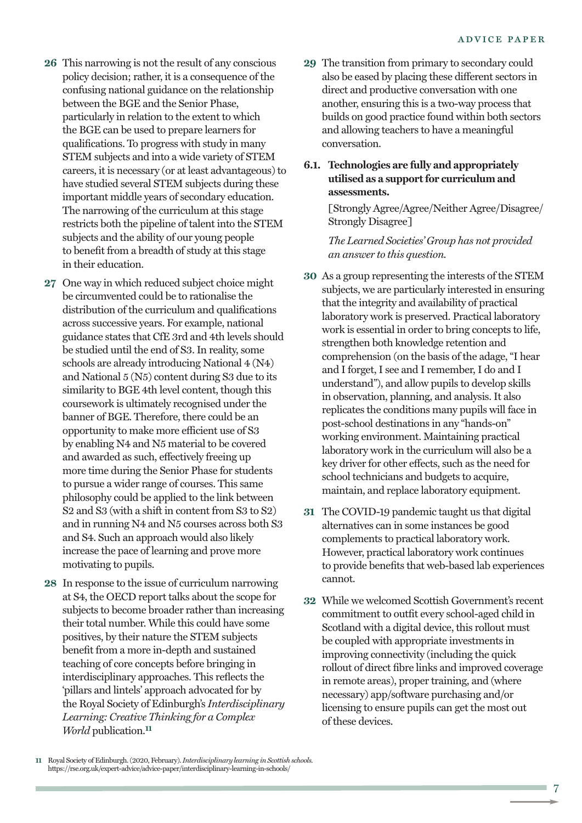- **26** This narrowing is not the result of any conscious policy decision; rather, it is a consequence of the confusing national guidance on the relationship between the BGE and the Senior Phase, particularly in relation to the extent to which the BGE can be used to prepare learners for qualifications. To progress with study in many STEM subjects and into a wide variety of STEM careers, it is necessary (or at least advantageous) to have studied several STEM subjects during these important middle years of secondary education. The narrowing of the curriculum at this stage restricts both the pipeline of talent into the STEM subjects and the ability of our young people to benefit from a breadth of study at this stage in their education.
- **27** One way in which reduced subject choice might be circumvented could be to rationalise the distribution of the curriculum and qualifications across successive years. For example, national guidance states that CfE 3rd and 4th levels should be studied until the end of S3. In reality, some schools are already introducing National 4 (N4) and National 5 (N5) content during S3 due to its similarity to BGE 4th level content, though this coursework is ultimately recognised under the banner of BGE. Therefore, there could be an opportunity to make more efficient use of S3 by enabling N4 and N5 material to be covered and awarded as such, effectively freeing up more time during the Senior Phase for students to pursue a wider range of courses. This same philosophy could be applied to the link between S2 and S3 (with a shift in content from S3 to S2) and in running N4 and N5 courses across both S3 and S4. Such an approach would also likely increase the pace of learning and prove more motivating to pupils.
- **28** In response to the issue of curriculum narrowing at S4, the OECD report talks about the scope for subjects to become broader rather than increasing their total number. While this could have some positives, by their nature the STEM subjects benefit from a more in-depth and sustained teaching of core concepts before bringing in interdisciplinary approaches. This reflects the 'pillars and lintels' approach advocated for by the Royal Society of Edinburgh's *Interdisciplinary Learning: Creative Thinking for a Complex World* publication. **11**
- **29** The transition from primary to secondary could also be eased by placing these different sectors in direct and productive conversation with one another, ensuring this is a two-way process that builds on good practice found within both sectors and allowing teachers to have a meaningful conversation.
- **6.1. Technologies are fully and appropriately utilised as a supportfor curriculum and assessments.**

[Strongly Agree/Agree/Neither Agree/Disagree/ Strongly Disagree]

*The Learned Societies' Group has not provided an answer to this question.*

- **30** As a group representing the interests of the STEM subjects, we are particularly interested in ensuring that the integrity and availability of practical laboratory work is preserved. Practical laboratory work is essential in order to bring concepts to life, strengthen both knowledge retention and comprehension (on the basis of the adage, "I hear and I forget, I see and I remember, I do and I understand"), and allow pupils to develop skills in observation, planning, and analysis. It also replicates the conditions many pupils will face in post-school destinations in any "hands-on" working environment. Maintaining practical laboratory work in the curriculum will also be a key driver for other effects, such as the need for school technicians and budgets to acquire, maintain, and replace laboratory equipment.
- **31** The COVID-19 pandemic taught us that digital alternatives can in some instances be good complements to practical laboratory work. However, practical laboratory work continues to provide benefits that web-based lab experiences cannot.
- **32** While we welcomed Scottish Government's recent commitment to outfit every school-aged child in Scotland with a digital device, this rollout must be coupled with appropriate investments in improving connectivity (including the quick rollout of direct fibre links and improved coverage in remote areas), proper training, and (where necessary) app/software purchasing and/or licensing to ensure pupils can get the most out of these devices.

11 Royal Society of Edinburgh. (2020, February). *Interdisciplinary learning in Scottish schools.* https://rse.org.uk/expert-advice/advice-paper/interdisciplinary-learning-in-schools/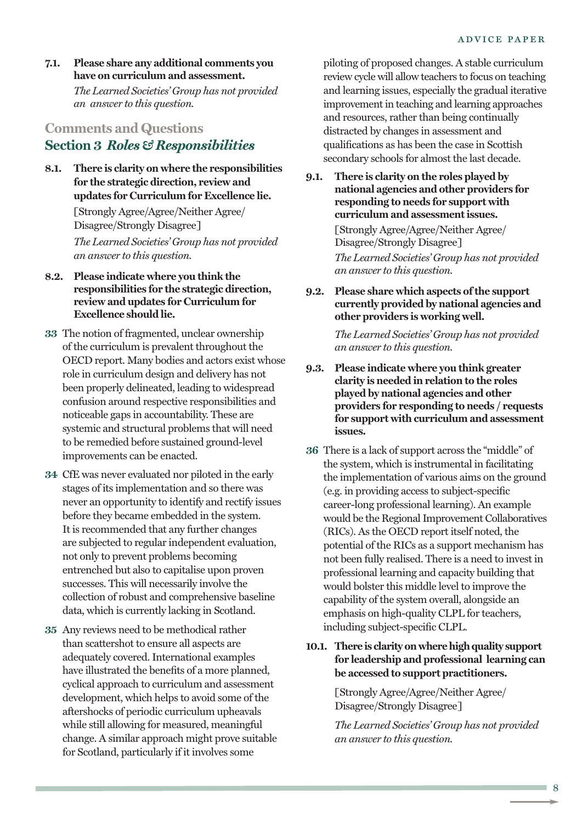**7.1. Please share any additional comments you have on curriculum and assessment.** *The Learned Societies' Group has not provided an answer to this question.*

## **Comments and Questions Section 3** *Roles & Responsibilities*

**8.1. There is clarity on where the responsibilities for the strategic direction, review and updates for Curriculum for Excellence lie.**

> [Strongly Agree/Agree/Neither Agree/ Disagree/Strongly Disagree] *The Learned Societies' Group has not provided an answer to this question.*

- **8.2. Please indicate where you think the responsibilities for the strategic direction, review and updates for Curriculum for Excellence should lie.**
- **33** The notion of fragmented, unclear ownership of the curriculum is prevalent throughout the OECD report. Many bodies and actors exist whose role in curriculum design and delivery has not been properly delineated, leading to widespread confusion around respective responsibilities and noticeable gaps in accountability. These are systemic and structural problems that will need to be remedied before sustained ground-level improvements can be enacted.
- **34** CfE was never evaluated nor piloted in the early stages of its implementation and so there was never an opportunity to identify and rectify issues before they became embedded in the system. It is recommended that any further changes are subjected to regular independent evaluation, not only to prevent problems becoming entrenched but also to capitalise upon proven successes. This will necessarily involve the collection of robust and comprehensive baseline data, which is currently lacking in Scotland.
- **35** Any reviews need to be methodical rather than scattershot to ensure all aspects are adequately covered. International examples have illustrated the benefits of a more planned, cyclical approach to curriculum and assessment development, which helps to avoid some of the aftershocks of periodic curriculum upheavals while still allowing for measured, meaningful change. A similar approach might prove suitable for Scotland, particularly if it involves some

piloting of proposed changes. A stable curriculum review cycle will allow teachers to focus on teaching and learning issues, especially the gradual iterative improvement in teaching and learning approaches and resources, rather than being continually distracted by changes in assessment and qualifications as has been the case in Scottish secondary schools for almost the last decade.

**9.1. There is clarity on the roles played by national agencies and other providers for responding to needs for support with curriculum and assessmentissues.**

> [Strongly Agree/Agree/Neither Agree/ Disagree/Strongly Disagree] *The Learned Societies' Group has not provided an answer to this question.*

**9.2. Please share which aspects ofthe support currently provided by national agencies and other providers is working well.**

> *The Learned Societies' Group has not provided an answer to this question.*

- **9.3. Please indicate where you think greater clarity is needed in relation to the roles played by national agencies and other providers for responding to needs / requests for support with curriculum and assessment issues.**
- **36** There is a lack of support across the "middle" of the system, which is instrumental in facilitating the implementation of various aims on the ground (e.g. in providing access to subject-specific career-long professional learning). An example would be the Regional Improvement Collaboratives (RICs). As the OECD report itself noted, the potential of the RICs as a support mechanism has not been fully realised. There is a need to invest in professional learning and capacity building that would bolster this middle level to improve the capability of the system overall, alongside an emphasis on high-quality CLPL for teachers, including subject-specific CLPL.

#### **10.1. There is clarityonwherehighquality support for leadership and professional learning can be accessed to support practitioners.**

[Strongly Agree/Agree/Neither Agree/ Disagree/Strongly Disagree]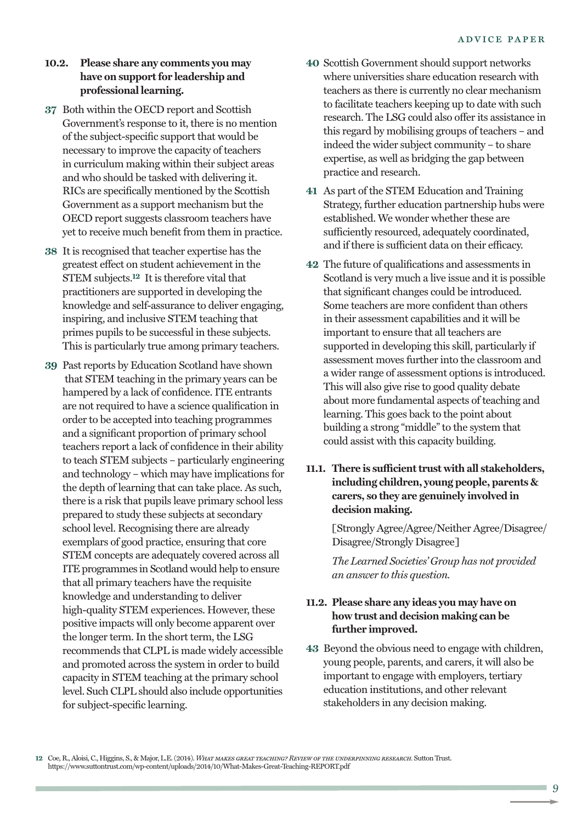#### **10.2. Please share any comments you may have on supportfor leadership and professional learning.**

- **37** Both within the OECD report and Scottish Government's response to it, there is no mention of the subject-specific support that would be necessary to improve the capacity of teachers in curriculum making within their subject areas and who should be tasked with delivering it. RICs are specifically mentioned by the Scottish Government as a support mechanism but the OECD report suggests classroom teachers have yet to receive much benefit from them in practice.
- **38** It is recognised that teacher expertise has the greatest effect on student achievement in the STEM subjects. **12** It is therefore vital that practitioners are supported in developing the knowledge and self-assurance to deliver engaging, inspiring, and inclusive STEM teaching that primes pupils to be successful in these subjects. This is particularly true among primary teachers.
- **39** Past reports by Education Scotland have shown that STEM teaching in the primary years can be hampered by a lack of confidence. ITE entrants are not required to have a science qualification in order to be accepted into teaching programmes and a significant proportion of primary school teachers report a lack of confidence in their ability to teach STEM subjects – particularly engineering and technology – which may have implications for the depth of learning that can take place. As such, there is a risk that pupils leave primary school less prepared to study these subjects at secondary school level. Recognising there are already exemplars of good practice, ensuring that core STEM concepts are adequately covered across all ITE programmes in Scotland would help to ensure that all primary teachers have the requisite knowledge and understanding to deliver high-quality STEM experiences. However, these positive impacts will only become apparent over the longer term. In the short term, the LSG recommends that CLPL is made widely accessible and promoted across the system in order to build capacity in STEM teaching at the primary school level. Such CLPL should also include opportunities for subject-specific learning.
- **40** Scottish Government should support networks where universities share education research with teachers as there is currently no clear mechanism to facilitate teachers keeping up to date with such research. The LSG could also offer its assistance in this regard by mobilising groups of teachers – and indeed the wider subject community – to share expertise, as well as bridging the gap between practice and research.
- **41** As part of the STEM Education and Training Strategy, further education partnership hubs were established. We wonder whether these are sufficiently resourced, adequately coordinated, and if there is sufficient data on their efficacy.
- **42** The future of qualifications and assessments in Scotland is very much a live issue and it is possible that significant changes could be introduced. Some teachers are more confident than others in their assessment capabilities and it will be important to ensure that all teachers are supported in developing this skill, particularly if assessment moves further into the classroom and a wider range of assessment options is introduced. This will also give rise to good quality debate about more fundamental aspects of teaching and learning. This goes back to the point about building a strong "middle" to the system that could assist with this capacity building.

#### 11.1. There is sufficient trust with all stakeholders, **including children, young people, parents & carers, so they are genuinely involved in decision making.**

[Strongly Agree/Agree/Neither Agree/Disagree/ Disagree/Strongly Disagree]

*The Learned Societies' Group has not provided an answer to this question.*

#### **11.2. Please share any ideas you may have on how trust and decision making can be further improved.**

**43** Beyond the obvious need to engage with children, young people, parents, and carers, it will also be important to engage with employers, tertiary education institutions, and other relevant stakeholders in any decision making.

**<sup>12</sup>** Coe, R.,Aloisi,C., Higgins, S., &Major, L.E.(2014). *Whatmakes great teaching? Review of theunderpinning research.* SuttonTrust. https://www.suttontrust.com/wp-content/uploads/2014/10/What-Makes-Great-Teaching-REPORT.pdf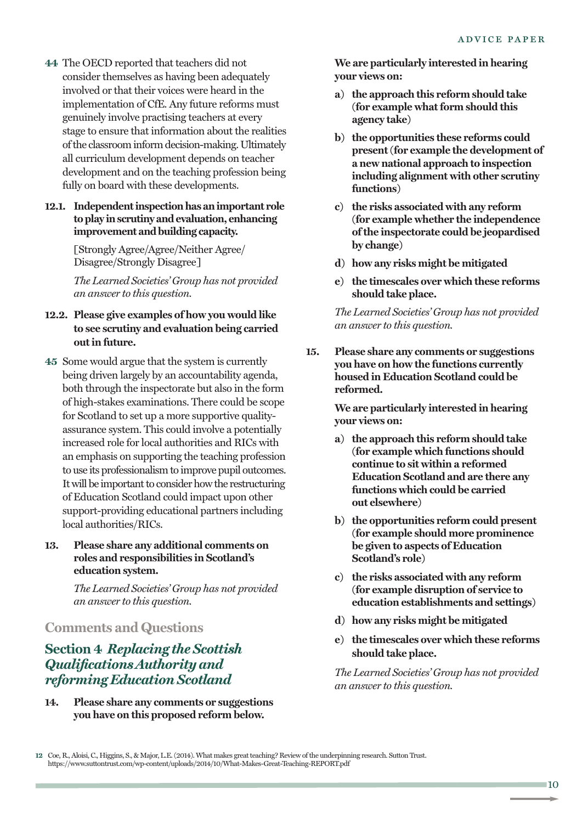**44** The OECD reported that teachers did not consider themselves as having been adequately involved or that their voices were heard in the implementation of CfE. Any future reforms must genuinely involve practising teachers at every stage to ensure that information about the realities ofthe classroom inform decision-making.Ultimately all curriculum development depends on teacher development and on the teaching profession being fully on board with these developments.

#### **12.1. Independentinspectionhas animportant role toplay inscrutiny andevaluation, enhancing improvement andbuilding capacity.**

[Strongly Agree/Agree/Neither Agree/ Disagree/Strongly Disagree]

*The Learned Societies' Group has not provided an answer to this question.*

#### **12.2. Please give examples of how you would like to see scrutiny and evaluation being carried outin future.**

- **45** Some would argue that the system is currently being driven largely by an accountability agenda, both through the inspectorate but also in the form of high-stakes examinations. There could be scope for Scotland to set up a more supportive qualityassurance system. This could involve a potentially increased role for local authorities and RICs with an emphasis on supporting the teaching profession to use its professionalism to improve pupil outcomes. It will be important to consider how the restructuring of Education Scotland could impact upon other support-providing educational partners including local authorities/RICs.
- **13. Please share any additional comments on roles and responsibilities in Scotland's education system.**

*The Learned Societies' Group has not provided an answer to this question.*

## **Comments and Questions**

## **Section 4** *Replacing the Scottish Qualifications Authority and reformingEducation Scotland*

**14. Please share any comments or suggestions you have on this proposed reform below.**

**We are particularly interested in hearing your views on:**

- **a) the approach this reform should take (for example whatform should this agency take)**
- **b) the opportunities these reforms could present(for example the development of a new national approach to inspection including alignment with other scrutiny functions)**
- **c) the risks associated with any reform (for example whether the independence ofthe inspectorate could be jeopardised by change)**
- **d) how any risks might be mitigated**
- **e) the timescales over which these reforms should take place.**

*The Learned Societies' Group has not provided an answer to this question.*

**15. Please share any comments or suggestions you have on how the functions currently housed in Education Scotland could be reformed.**

> **We are particularly interested in hearing your views on:**

- **a) the approach this reform should take (for example which functions should continue to sit within a reformed Education Scotland and are there any functions which could be carried out elsewhere)**
- **b) the opportunities reform could present (for example should more prominence be given to aspects of Education Scotland's role)**
- **c) the risks associated with any reform (for example disruption of service to education establishments and settings)**
- **d) how any risks might be mitigated**
- **e) the timescales over which these reforms should take place.**

**<sup>12</sup>** Coe, R.,Aloisi,C., Higgins, S., &Major, L.E.(2014).What makes greatteaching? Review ofthe underpinning research. SuttonTrust. https://www.suttontrust.com/wp-content/uploads/2014/10/What-Makes-Great-Teaching-REPORT.pdf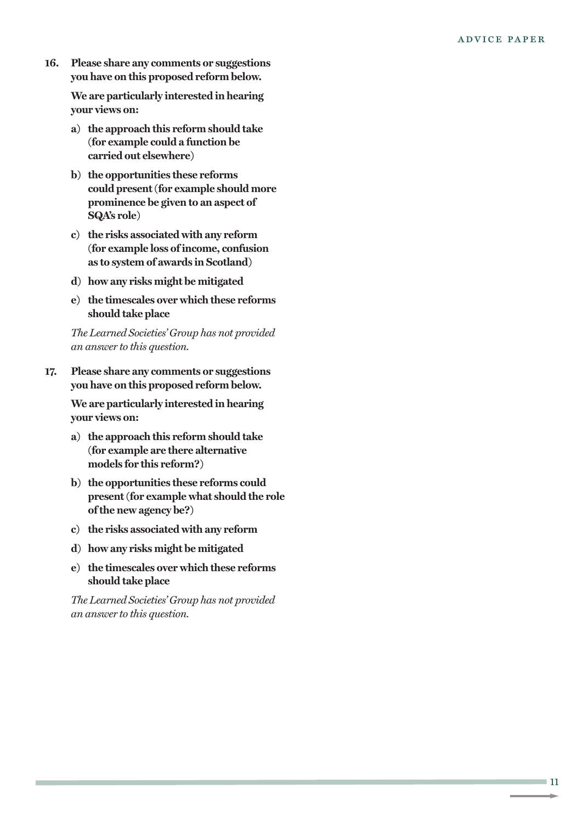**16. Please share any comments or suggestions you have on this proposed reform below.**

> **We are particularly interested in hearing your views on:**

- **a) the approach this reform should take (for example could a function be carried out elsewhere)**
- **b) the opportunities these reforms could present(for example should more prominence be given to an aspect of SQA's role)**
- **c) the risks associated with any reform (for example loss ofincome, confusion as to system of awards in Scotland)**
- **d) how any risks might be mitigated**
- **e) the timescales over which these reforms should take place**

*The Learned Societies' Group has not provided an answer to this question.*

**17. Please share any comments or suggestions you have on this proposed reform below.**

> **We are particularly interested in hearing your views on:**

- **a) the approach this reform should take (for example are there alternative models for this reform?)**
- **b) the opportunities these reforms could present(for example what should the role ofthe new agency be?)**
- **c) the risks associated with any reform**
- **d) how any risks might be mitigated**
- **e) the timescales over which these reforms should take place**